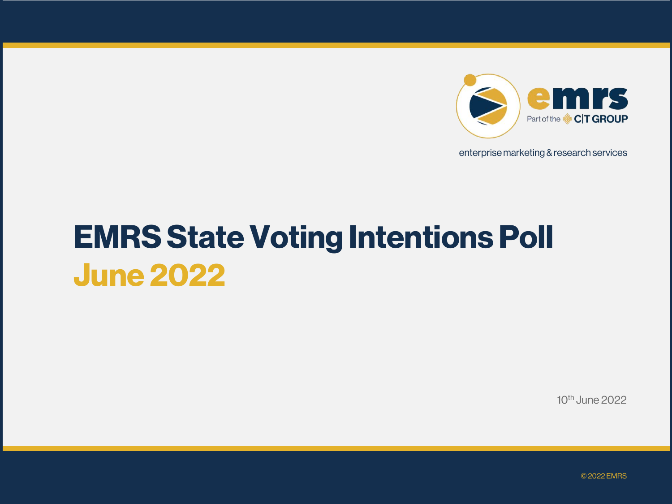

enterprise marketing & research services

# **EMRS State Voting Intentions Poll June 2022**

10th June 2022

© 2022 EMRS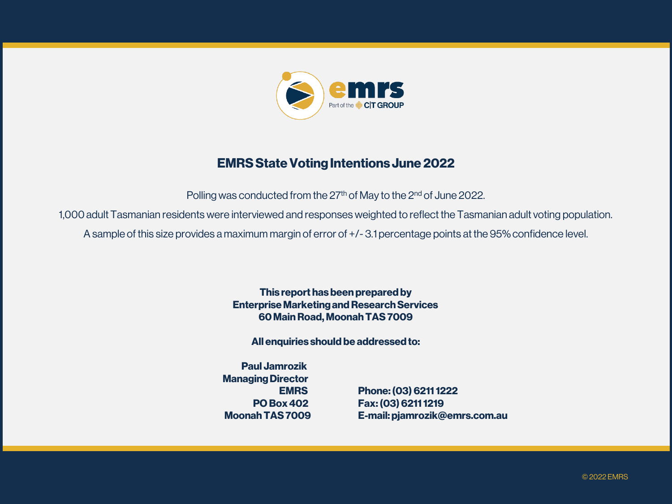

#### **EMRS State Voting Intentions June 2022**

Polling was conducted from the 27<sup>th</sup> of May to the 2<sup>nd</sup> of June 2022.

1,000 adult Tasmanian residents were interviewed and responses weighted to reflect the Tasmanian adult voting population.

A sample of this size provides a maximum margin of error of +/- 3.1 percentage points at the 95% confidence level.

**This report has been prepared by Enterprise Marketing and Research Services 60 Main Road, Moonah TAS 7009**

**All enquiries should be addressed to:**

**Paul Jamrozik Managing Director**

**EMRS Phone: (03) 6211 1222 PO Box 402 Fax: (03) 6211 1219 MoonahTAS 7009 E-mail: pjamrozik@emrs.com.au**

© 2022 EMRS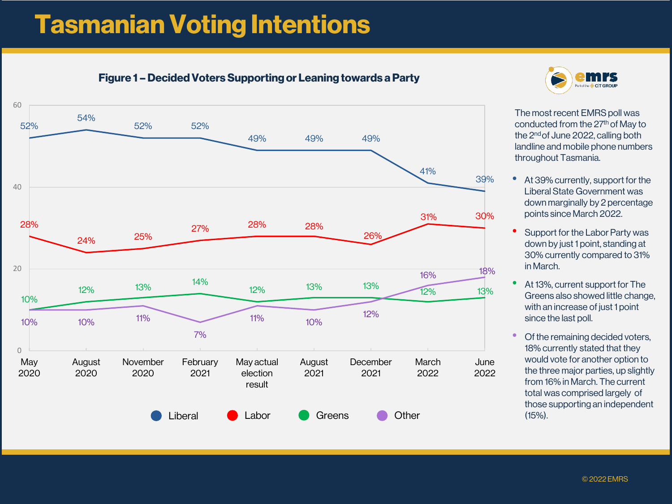## **Tasmanian Voting Intentions**

#### **Figure 1 – Decided Voters Supporting or Leaning towards a Party**





The most recent EMRS poll was conducted from the 27<sup>th</sup> of May to the 2<sup>nd</sup> of June 2022, calling both landline and mobile phone numbers throughout Tasmania.

- At 39% currently, support for the Liberal State Government was down marginally by 2 percentage points since March 2022.
- Support for the Labor Party was down by just 1 point, standing at 30% currently compared to 31% in March.
- At 13%, current support for The Greens also showed little change, with an increase of just 1 point since the last poll.
- Of the remaining decided voters, 18% currently stated that they would vote for another option to the three major parties, up slightly from 16% in March. The current total was comprised largely of those supporting an independent (15%).